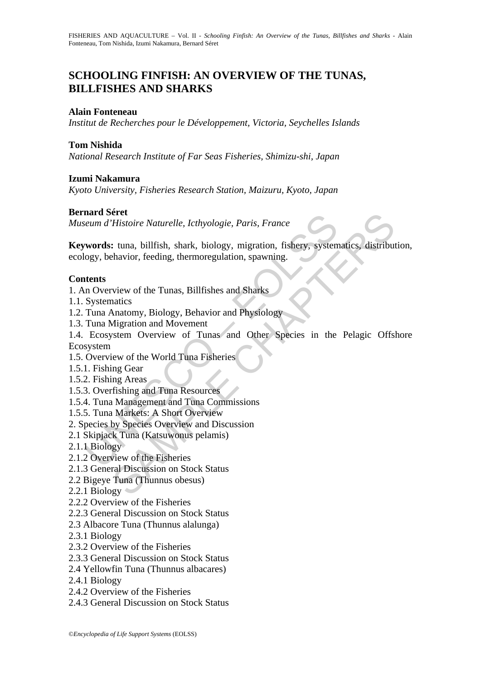## **SCHOOLING FINFISH: AN OVERVIEW OF THE TUNAS, BILLFISHES AND SHARKS**

## **Alain Fonteneau**

*Institut de Recherches pour le Développement, Victoria, Seychelles Islands* 

## **Tom Nishida**

*National Research Institute of Far Seas Fisheries, Shimizu-shi, Japan* 

## **Izumi Nakamura**

*Kyoto University, Fisheries Research Station, Maizuru, Kyoto, Japan* 

## **Bernard Séret**

*Museum d'Histoire Naturelle, Icthyologie, Paris, France* 

marti Seret<br>
eum d'Histoire Naturelle, Icthyologie, Paris, France<br> **words:** tuna, billfish, shark, biology, migration, fishery, system<br>
ogy, behavior, feeding, thermoregulation, spawning.<br> **ttents**<br>
In Overview of the Tuna **Processor Controllary American**<br> **Controllary Exercise Chapters**<br> **Controllary Exercise Chapters**<br> **Controllary Exercise Chapters**<br> **Controllary Chapters**<br> **Controllary Chapters**<br> **Controllary America**<br> **Controllary Chapt Keywords:** tuna, billfish, shark, biology, migration, fishery, systematics, distribution, ecology, behavior, feeding, thermoregulation, spawning.

## **Contents**

1. An Overview of the Tunas, Billfishes and Sharks

- 1.1. Systematics
- 1.2. Tuna Anatomy, Biology, Behavior and Physiology
- 1.3. Tuna Migration and Movement

1.4. Ecosystem Overview of Tunas and Other Species in the Pelagic Offshore Ecosystem

- 1.5. Overview of the World Tuna Fisheries
- 1.5.1. Fishing Gear
- 1.5.2. Fishing Areas
- 1.5.3. Overfishing and Tuna Resources
- 1.5.4. Tuna Management and Tuna Commissions
- 1.5.5. Tuna Markets: A Short Overview
- 2. Species by Species Overview and Discussion
- 2.1 Skipjack Tuna (Katsuwonus pelamis)
- 2.1.1 Biology
- 2.1.2 Overview of the Fisheries
- 2.1.3 General Discussion on Stock Status
- 2.2 Bigeye Tuna (Thunnus obesus)
- 2.2.1 Biology
- 2.2.2 Overview of the Fisheries
- 2.2.3 General Discussion on Stock Status
- 2.3 Albacore Tuna (Thunnus alalunga)
- 2.3.1 Biology
- 2.3.2 Overview of the Fisheries
- 2.3.3 General Discussion on Stock Status
- 2.4 Yellowfin Tuna (Thunnus albacares)
- 2.4.1 Biology
- 2.4.2 Overview of the Fisheries
- 2.4.3 General Discussion on Stock Status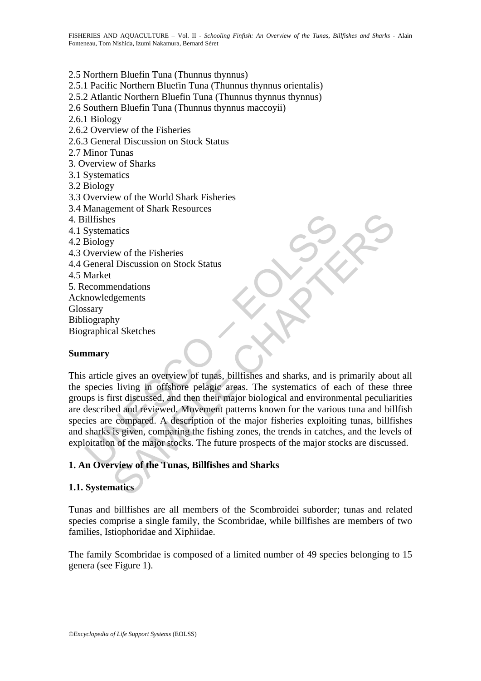## 2.5 Northern Bluefin Tuna (Thunnus thynnus)

- 2.5.1 Pacific Northern Bluefin Tuna (Thunnus thynnus orientalis)
- 2.5.2 Atlantic Northern Bluefin Tuna (Thunnus thynnus thynnus)
- 2.6 Southern Bluefin Tuna (Thunnus thynnus maccoyii)
- 2.6.1 Biology
- 2.6.2 Overview of the Fisheries
- 2.6.3 General Discussion on Stock Status
- 2.7 Minor Tunas
- 3. Overview of Sharks
- 3.1 Systematics
- 3.2 Biology
- 3.3 Overview of the World Shark Fisheries
- 3.4 Management of Shark Resources
- 4. Billfishes
- 4.1 Systematics
- 4.2 Biology
- 4.3 Overview of the Fisheries
- 4.4 General Discussion on Stock Status
- 4.5 Market
- 5. Recommendations
- Acknowledgements
- Glossary
- Bibliography Biographical Sketches

## **Summary**

illfishes<br>
Systematics<br>
Systematics<br>
Biology<br>
Overview of the Fisheries<br>
Market<br>
ecommendations<br>
Market<br>
ecommendations<br>
mary<br>
starticle gives an overview of tunas, billfishes and sharks, and is<br>
species living in offshore S<br>
S<br>
S<br>
S<br>
S<br>
New of the Fisheries<br>
I Discussion on Stock Status<br>
lendations<br>
lendations<br>
lendations<br>
lendations<br>
lendations<br>
gives an overview of tunas, billfishes and sharks, and is primarily about<br>
it is using in offsh This article gives an overview of tunas, billfishes and sharks, and is primarily about all the species living in offshore pelagic areas. The systematics of each of these three groups is first discussed, and then their major biological and environmental peculiarities are described and reviewed. Movement patterns known for the various tuna and billfish species are compared. A description of the major fisheries exploiting tunas, billfishes and sharks is given, comparing the fishing zones, the trends in catches, and the levels of exploitation of the major stocks. The future prospects of the major stocks are discussed.

## **1. An Overview of the Tunas, Billfishes and Sharks**

## **1.1. Systematics**

Tunas and billfishes are all members of the Scombroidei suborder; tunas and related species comprise a single family, the Scombridae, while billfishes are members of two families, Istiophoridae and Xiphiidae.

The family Scombridae is composed of a limited number of 49 species belonging to 15 genera (see Figure 1).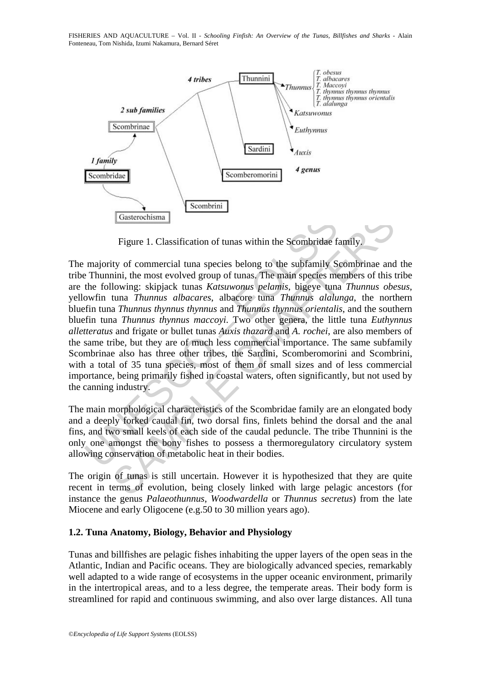FISHERIES AND AQUACULTURE – Vol. II - *Schooling Finfish: An Overview of the Tunas, Billfishes and Sharks* - Alain Fonteneau, Tom Nishida, Izumi Nakamura, Bernard Séret



Figure 1. Classification of tunas within the Scombridae family.

Gasterochisma<br>
Figure 1. Classification of tunas within the Scombridae f:<br>
majority of commercial tuna species belong to the subfamily S<br>
P Thunnini, the most evolved group of tunas. The main species me<br>
the following: ski Gasterochisma<br>
Figure 1. Classification of tunas within the Scombridae family.<br>
Figure 1. Classification of tunas within the Scombridae family.<br>
Ity of commercial tuna species belong to the subfamily Scombrinae and<br>
Itowin The majority of commercial tuna species belong to the subfamily Scombrinae and the tribe Thunnini, the most evolved group of tunas. The main species members of this tribe are the following: skipjack tunas *Katsuwonus pelamis*, bigeye tuna *Thunnus obesus*, yellowfin tuna *Thunnus albacares*, albacore tuna *Thunnus alalunga*, the northern bluefin tuna *Thunnus thynnus thynnus* and *Thunnus thynnus orientalis*, and the southern bluefin tuna *Thunnus thynnus maccoyi*. Two other genera, the little tuna *Euthynnus alletteratus* and frigate or bullet tunas *Auxis thazard* and *A. rochei*, are also members of the same tribe, but they are of much less commercial importance. The same subfamily Scombrinae also has three other tribes, the Sardini, Scomberomorini and Scombrini, with a total of 35 tuna species, most of them of small sizes and of less commercial importance, being primarily fished in coastal waters, often significantly, but not used by the canning industry.

The main morphological characteristics of the Scombridae family are an elongated body and a deeply forked caudal fin, two dorsal fins, finlets behind the dorsal and the anal fins, and two small keels of each side of the caudal peduncle. The tribe Thunnini is the only one amongst the bony fishes to possess a thermoregulatory circulatory system allowing conservation of metabolic heat in their bodies.

The origin of tunas is still uncertain. However it is hypothesized that they are quite recent in terms of evolution, being closely linked with large pelagic ancestors (for instance the genus *Palaeothunnus*, *Woodwardella* or *Thunnus secretus*) from the late Miocene and early Oligocene (e.g.50 to 30 million years ago).

## **1.2. Tuna Anatomy, Biology, Behavior and Physiology**

Tunas and billfishes are pelagic fishes inhabiting the upper layers of the open seas in the Atlantic, Indian and Pacific oceans. They are biologically advanced species, remarkably well adapted to a wide range of ecosystems in the upper oceanic environment, primarily in the intertropical areas, and to a less degree, the temperate areas. Their body form is streamlined for rapid and continuous swimming, and also over large distances. All tuna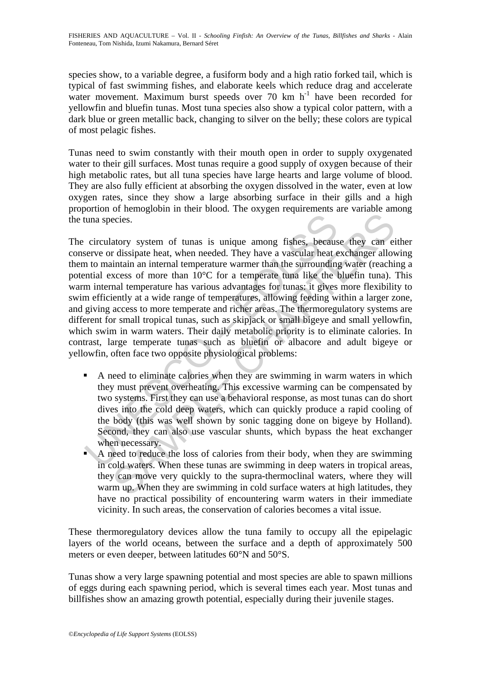species show, to a variable degree, a fusiform body and a high ratio forked tail, which is typical of fast swimming fishes, and elaborate keels which reduce drag and accelerate water movement. Maximum burst speeds over 70 km h<sup>-1</sup> have been recorded for yellowfin and bluefin tunas. Most tuna species also show a typical color pattern, with a dark blue or green metallic back, changing to silver on the belly; these colors are typical of most pelagic fishes.

Tunas need to swim constantly with their mouth open in order to supply oxygenated water to their gill surfaces. Most tunas require a good supply of oxygen because of their high metabolic rates, but all tuna species have large hearts and large volume of blood. They are also fully efficient at absorbing the oxygen dissolved in the water, even at low oxygen rates, since they show a large absorbing surface in their gills and a high proportion of hemoglobin in their blood. The oxygen requirements are variable among the tuna species.

circulatory system of tunas is unique among fishes, because<br>serve or dissipate heat, when needed. They have a vascular heat ease<br>not on distain an internal temperature warmer than the surrounding<br>in to maintain an internal ecies.<br>
atory system of tunas is unique among fishes, because they can eif dissipate heat, when needed. They have a vascular heat exchanger allouintain an internal temperature warmer than the surrounding water (reachind se The circulatory system of tunas is unique among fishes, because they can either conserve or dissipate heat, when needed. They have a vascular heat exchanger allowing them to maintain an internal temperature warmer than the surrounding water (reaching a potential excess of more than 10°C for a temperate tuna like the bluefin tuna). This warm internal temperature has various advantages for tunas: it gives more flexibility to swim efficiently at a wide range of temperatures, allowing feeding within a larger zone, and giving access to more temperate and richer areas. The thermoregulatory systems are different for small tropical tunas, such as skipjack or small bigeye and small yellowfin, which swim in warm waters. Their daily metabolic priority is to eliminate calories. In contrast, large temperate tunas such as bluefin or albacore and adult bigeye or yellowfin, often face two opposite physiological problems:

- A need to eliminate calories when they are swimming in warm waters in which they must prevent overheating. This excessive warming can be compensated by two systems. First they can use a behavioral response, as most tunas can do short dives into the cold deep waters, which can quickly produce a rapid cooling of the body (this was well shown by sonic tagging done on bigeye by Holland). Second, they can also use vascular shunts, which bypass the heat exchanger when necessary.
- A need to reduce the loss of calories from their body, when they are swimming in cold waters. When these tunas are swimming in deep waters in tropical areas, they can move very quickly to the supra-thermoclinal waters, where they will warm up. When they are swimming in cold surface waters at high latitudes, they have no practical possibility of encountering warm waters in their immediate vicinity. In such areas, the conservation of calories becomes a vital issue.

These thermoregulatory devices allow the tuna family to occupy all the epipelagic layers of the world oceans, between the surface and a depth of approximately 500 meters or even deeper, between latitudes 60°N and 50°S.

Tunas show a very large spawning potential and most species are able to spawn millions of eggs during each spawning period, which is several times each year. Most tunas and billfishes show an amazing growth potential, especially during their juvenile stages.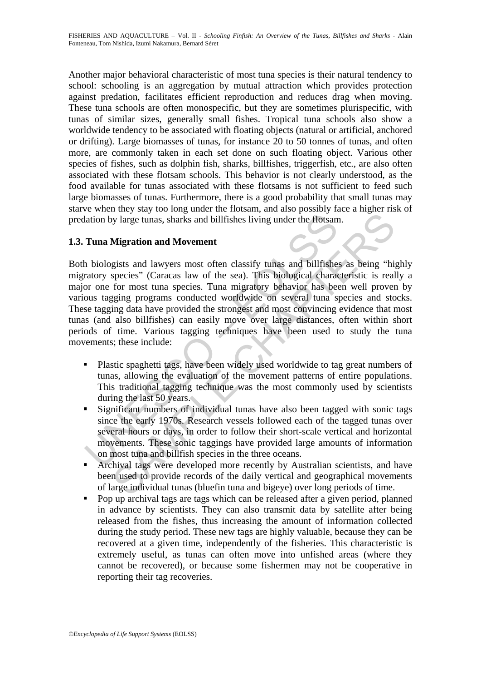Another major behavioral characteristic of most tuna species is their natural tendency to school: schooling is an aggregation by mutual attraction which provides protection against predation, facilitates efficient reproduction and reduces drag when moving. These tuna schools are often monospecific, but they are sometimes plurispecific, with tunas of similar sizes, generally small fishes. Tropical tuna schools also show a worldwide tendency to be associated with floating objects (natural or artificial, anchored or drifting). Large biomasses of tunas, for instance 20 to 50 tonnes of tunas, and often more, are commonly taken in each set done on such floating object. Various other species of fishes, such as dolphin fish, sharks, billfishes, triggerfish, etc., are also often associated with these flotsam schools. This behavior is not clearly understood, as the food available for tunas associated with these flotsams is not sufficient to feed such large biomasses of tunas. Furthermore, there is a good probability that small tunas may starve when they stay too long under the flotsam, and also possibly face a higher risk of predation by large tunas, sharks and billfishes living under the flotsam.

## **1.3. Tuna Migration and Movement**

lation by large tunas, sharks and billfishes living under the flotsam<br> **Tuna Migration and Movement**<br>
h biologists and lawyers most often classify tunas and billfishe<br>
hatologists and lawyers most often classify tunas and by large tunas, sharks and billfishes living under the flotsam.<br>
Migration and Movement<br>
gists and lawyers most often classify tunas and billfishes as being "hi<br>
species" (Caracas law of the sea). This biological character Both biologists and lawyers most often classify tunas and billfishes as being "highly migratory species" (Caracas law of the sea). This biological characteristic is really a major one for most tuna species. Tuna migratory behavior has been well proven by various tagging programs conducted worldwide on several tuna species and stocks. These tagging data have provided the strongest and most convincing evidence that most tunas (and also billfishes) can easily move over large distances, often within short periods of time. Various tagging techniques have been used to study the tuna movements; these include:

- **Plastic spaghetti tags, have been widely used worldwide to tag great numbers of** tunas, allowing the evaluation of the movement patterns of entire populations. This traditional tagging technique was the most commonly used by scientists during the last 50 years.
- Significant numbers of individual tunas have also been tagged with sonic tags since the early 1970s. Research vessels followed each of the tagged tunas over several hours or days, in order to follow their short-scale vertical and horizontal movements. These sonic taggings have provided large amounts of information on most tuna and billfish species in the three oceans.
- Archival tags were developed more recently by Australian scientists, and have been used to provide records of the daily vertical and geographical movements of large individual tunas (bluefin tuna and bigeye) over long periods of time.
- Pop up archival tags are tags which can be released after a given period, planned in advance by scientists. They can also transmit data by satellite after being released from the fishes, thus increasing the amount of information collected during the study period. These new tags are highly valuable, because they can be recovered at a given time, independently of the fisheries. This characteristic is extremely useful, as tunas can often move into unfished areas (where they cannot be recovered), or because some fishermen may not be cooperative in reporting their tag recoveries.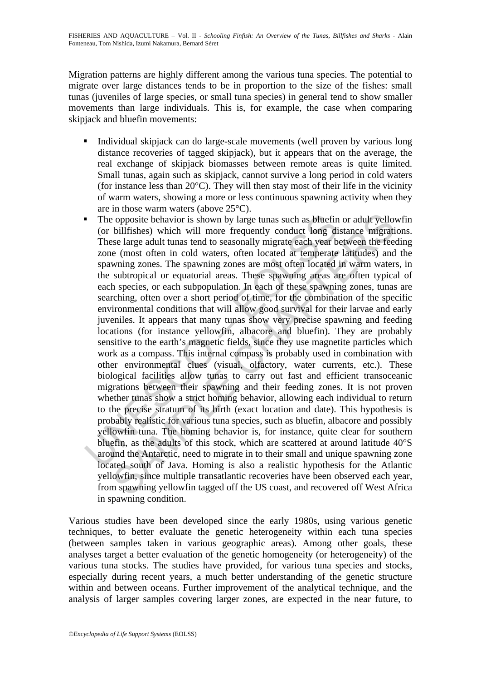Migration patterns are highly different among the various tuna species. The potential to migrate over large distances tends to be in proportion to the size of the fishes: small tunas (juveniles of large species, or small tuna species) in general tend to show smaller movements than large individuals. This is, for example, the case when comparing skipjack and bluefin movements:

- Individual skipjack can do large-scale movements (well proven by various long distance recoveries of tagged skipjack), but it appears that on the average, the real exchange of skipjack biomasses between remote areas is quite limited. Small tunas, again such as skipjack, cannot survive a long period in cold waters (for instance less than  $20^{\circ}$ C). They will then stay most of their life in the vicinity of warm waters, showing a more or less continuous spawning activity when they are in those warm waters (above 25°C).
- The opposite behavior is shown by large tunas such as bluefin (or billfishes) which will more frequently conduct long di<br>These large adult tunas tend to seasonally migrate each year b<br>zone (most often in cold waters, often is opposite behavior is shown by large tunas such as bluefin or adult yello<br>billfishes) which will more frequently conduct long distance migraties<br>ee large adult tunas tend to seasonally migrate each year between the fee<br> The opposite behavior is shown by large tunas such as bluefin or adult yellowfin (or billfishes) which will more frequently conduct long distance migrations. These large adult tunas tend to seasonally migrate each year between the feeding zone (most often in cold waters, often located at temperate latitudes) and the spawning zones. The spawning zones are most often located in warm waters, in the subtropical or equatorial areas. These spawning areas are often typical of each species, or each subpopulation. In each of these spawning zones, tunas are searching, often over a short period of time, for the combination of the specific environmental conditions that will allow good survival for their larvae and early juveniles. It appears that many tunas show very precise spawning and feeding locations (for instance yellowfin, albacore and bluefin). They are probably sensitive to the earth's magnetic fields, since they use magnetite particles which work as a compass. This internal compass is probably used in combination with other environmental clues (visual, olfactory, water currents, etc.). These biological facilities allow tunas to carry out fast and efficient transoceanic migrations between their spawning and their feeding zones. It is not proven whether tunas show a strict homing behavior, allowing each individual to return to the precise stratum of its birth (exact location and date). This hypothesis is probably realistic for various tuna species, such as bluefin, albacore and possibly yellowfin tuna. The homing behavior is, for instance, quite clear for southern bluefin, as the adults of this stock, which are scattered at around latitude 40°S around the Antarctic, need to migrate in to their small and unique spawning zone located south of Java. Homing is also a realistic hypothesis for the Atlantic yellowfin, since multiple transatlantic recoveries have been observed each year, from spawning yellowfin tagged off the US coast, and recovered off West Africa in spawning condition.

Various studies have been developed since the early 1980s, using various genetic techniques, to better evaluate the genetic heterogeneity within each tuna species (between samples taken in various geographic areas). Among other goals, these analyses target a better evaluation of the genetic homogeneity (or heterogeneity) of the various tuna stocks. The studies have provided, for various tuna species and stocks, especially during recent years, a much better understanding of the genetic structure within and between oceans. Further improvement of the analytical technique, and the analysis of larger samples covering larger zones, are expected in the near future, to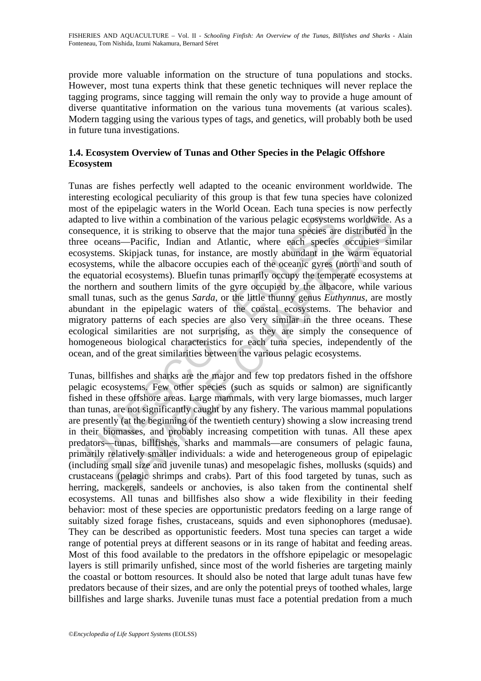provide more valuable information on the structure of tuna populations and stocks. However, most tuna experts think that these genetic techniques will never replace the tagging programs, since tagging will remain the only way to provide a huge amount of diverse quantitative information on the various tuna movements (at various scales). Modern tagging using the various types of tags, and genetics, will probably both be used in future tuna investigations.

## **1.4. Ecosystem Overview of Tunas and Other Species in the Pelagic Offshore Ecosystem**

bed to live within a combination of the various pelagic ecosystem<br>sequence, it is striking to observe that the major tuna species are<br>e oceans—Pacific, Indian and Atlantic, where each species are<br>e oceans—Pacific, Indian a Five within a combination of the various pelagic ecosystems worldwide.<br>
Live within a combination of the various pelagic ecosystems worldwide.<br>
Lee, it is striking to observe that the major tuna species are distributed in Tunas are fishes perfectly well adapted to the oceanic environment worldwide. The interesting ecological peculiarity of this group is that few tuna species have colonized most of the epipelagic waters in the World Ocean. Each tuna species is now perfectly adapted to live within a combination of the various pelagic ecosystems worldwide. As a consequence, it is striking to observe that the major tuna species are distributed in the three oceans—Pacific, Indian and Atlantic, where each species occupies similar ecosystems. Skipjack tunas, for instance, are mostly abundant in the warm equatorial ecosystems, while the albacore occupies each of the oceanic gyres (north and south of the equatorial ecosystems). Bluefin tunas primarily occupy the temperate ecosystems at the northern and southern limits of the gyre occupied by the albacore, while various small tunas, such as the genus *Sarda*, or the little thunny genus *Euthynnus*, are mostly abundant in the epipelagic waters of the coastal ecosystems. The behavior and migratory patterns of each species are also very similar in the three oceans. These ecological similarities are not surprising, as they are simply the consequence of homogeneous biological characteristics for each tuna species, independently of the ocean, and of the great similarities between the various pelagic ecosystems.

Tunas, billfishes and sharks are the major and few top predators fished in the offshore pelagic ecosystems. Few other species (such as squids or salmon) are significantly fished in these offshore areas. Large mammals, with very large biomasses, much larger than tunas, are not significantly caught by any fishery. The various mammal populations are presently (at the beginning of the twentieth century) showing a slow increasing trend in their biomasses, and probably increasing competition with tunas. All these apex predators—tunas, billfishes, sharks and mammals—are consumers of pelagic fauna, primarily relatively smaller individuals: a wide and heterogeneous group of epipelagic (including small size and juvenile tunas) and mesopelagic fishes, mollusks (squids) and crustaceans (pelagic shrimps and crabs). Part of this food targeted by tunas, such as herring, mackerels, sandeels or anchovies, is also taken from the continental shelf ecosystems. All tunas and billfishes also show a wide flexibility in their feeding behavior: most of these species are opportunistic predators feeding on a large range of suitably sized forage fishes, crustaceans, squids and even siphonophores (medusae). They can be described as opportunistic feeders. Most tuna species can target a wide range of potential preys at different seasons or in its range of habitat and feeding areas. Most of this food available to the predators in the offshore epipelagic or mesopelagic layers is still primarily unfished, since most of the world fisheries are targeting mainly the coastal or bottom resources. It should also be noted that large adult tunas have few predators because of their sizes, and are only the potential preys of toothed whales, large billfishes and large sharks. Juvenile tunas must face a potential predation from a much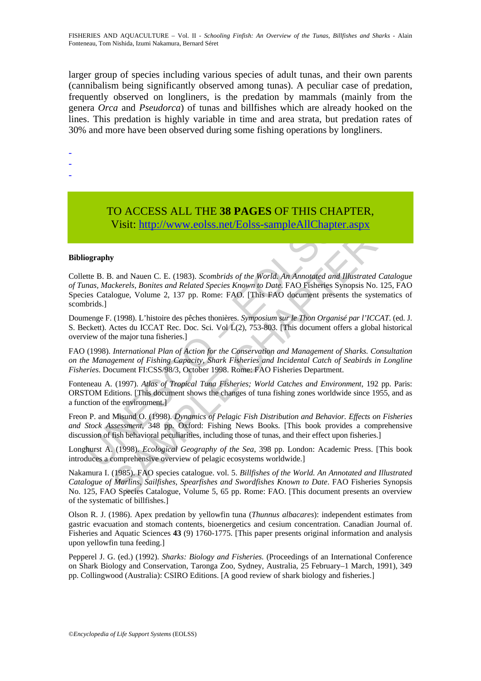larger group of species including various species of adult tunas, and their own parents (cannibalism being significantly observed among tunas). A peculiar case of predation, frequently observed on longliners, is the predation by mammals (mainly from the genera *Orca* and *Pseudorca*) of tunas and billfishes which are already hooked on the lines. This predation is highly variable in time and area strata, but predation rates of 30% and more have been observed during some fishing operations by longliners.

-

-

-

# TO ACCESS ALL THE **38 PAGES** OF THIS CHAPTER,

Visit: http://www.eolss.net/Eolss-sampleAllChapter.aspx

#### **Bibliography**

Visit: http://www.eolss.net/Eolss-sampleAllChapter<br>Visit: http://www.eolss.net/Eolss-sampleAllChapter<br>iography<br>tete B. B. and Nauen C. E. (1983). Scombrids of the World. An Annotated ana<br>mas, Mackerels, Bonites and Related US ACCESS ALL THE 36 PAGES OF THIS CHAPTER,<br>
Visit: http://www.eolss.net/Eolss-sampleAllChapter.aspx<br>
s. and Nauen C. E. (1983). Scombrids of the World. An Annotated and Illustrated Catal<br>
celeverels. Bonies and Related S Collette B. B. and Nauen C. E. (1983). *Scombrids of the World. An Annotated and Illustrated Catalogue of Tunas, Mackerels, Bonites and Related Species Known to Date*. FAO Fisheries Synopsis No. 125, FAO Species Catalogue, Volume 2, 137 pp. Rome: FAO. [This FAO document presents the systematics of scombrids.]

Doumenge F. (1998). L'histoire des pêches thonières. *Symposium sur le Thon Organisé par l'ICCAT*. (ed. J. S. Beckett). Actes du ICCAT Rec. Doc. Sci. Vol L(2), 753-803. [This document offers a global historical overview of the major tuna fisheries.]

FAO (1998). *International Plan of Action for the Conservation and Management of Sharks. Consultation on the Management of Fishing Capacity, Shark Fisheries and Incidental Catch of Seabirds in Longline Fisheries*. Document FI:CSS/98/3, October 1998. Rome: FAO Fisheries Department.

Fonteneau A. (1997). *Atlas of Tropical Tuna Fisheries; World Catches and Environment*, 192 pp. Paris: ORSTOM Editions. [This document shows the changes of tuna fishing zones worldwide since 1955, and as a function of the environment.]

Freon P. and Misund O. (1998). *Dynamics of Pelagic Fish Distribution and Behavior. Effects on Fisheries and Stock Assessment*, 348 pp. Oxford: Fishing News Books. [This book provides a comprehensive discussion of fish behavioral peculiarities, including those of tunas, and their effect upon fisheries.]

Longhurst A. (1998). *Ecological Geography of the Sea*, 398 pp. London: Academic Press. [This book introduces a comprehensive overview of pelagic ecosystems worldwide.]

Nakamura I. (1985). FAO species catalogue. vol. 5. *Billfishes of the World. An Annotated and Illustrated Catalogue of Marlins, Sailfishes, Spearfishes and Swordfishes Known to Date*. FAO Fisheries Synopsis No. 125, FAO Species Catalogue, Volume 5, 65 pp. Rome: FAO. [This document presents an overview of the systematic of billfishes.]

Olson R. J. (1986). Apex predation by yellowfin tuna (*Thunnus albacares*): independent estimates from gastric evacuation and stomach contents, bioenergetics and cesium concentration. Canadian Journal of. Fisheries and Aquatic Sciences **43** (9) 1760-1775. [This paper presents original information and analysis upon yellowfin tuna feeding.]

Pepperel J. G. (ed.) (1992). *Sharks: Biology and Fisheries.* (Proceedings of an International Conference on Shark Biology and Conservation, Taronga Zoo, Sydney, Australia, 25 February–1 March, 1991), 349 pp. Collingwood (Australia): CSIRO Editions. [A good review of shark biology and fisheries.]